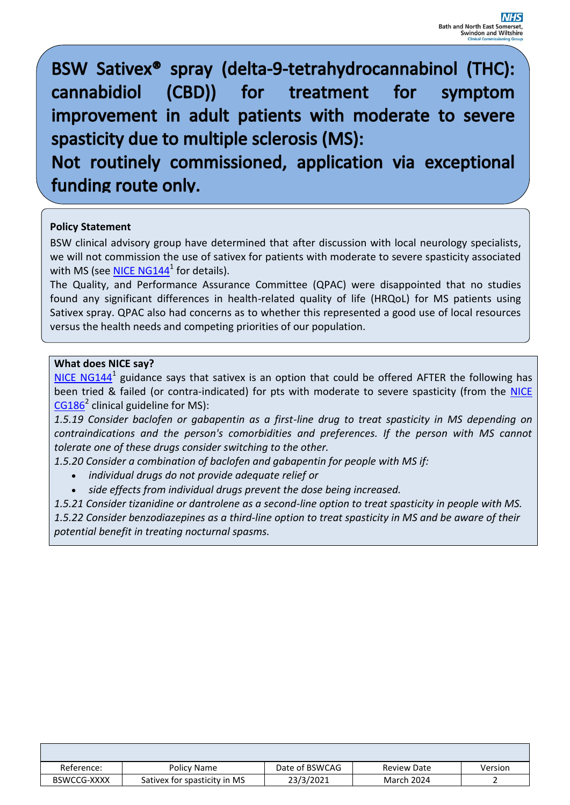BSW Sativex<sup>®</sup> spray (delta-9-tetrahydrocannabinol (THC):  $(CBD)$ treatment cannabidiol for for symptom improvement in adult patients with moderate to severe spasticity due to multiple sclerosis (MS):

Not routinely commissioned, application via exceptional funding route only.

### **Policy Statement**

BSW clinical advisory group have determined that after discussion with local neurology specialists, we will not commission the use of sativex for patients with moderate to severe spasticity associated with MS (see <u>[NICE NG144](https://www.nice.org.uk/guidance/ng144)</u><sup>1</sup> for details).

The Quality, and Performance Assurance Committee (QPAC) were disappointed that no studies found any significant differences in health-related quality of life (HRQoL) for MS patients using Sativex spray. QPAC also had concerns as to whether this represented a good use of local resources versus the health needs and competing priorities of our population.

### **What does NICE say?**

[NICE NG144](https://www.nice.org.uk/guidance/ng144)<sup>1</sup> guidance says that sativex is an option that could be offered AFTER the following has been tried & failed (or contra-indicated) for pts with moderate to severe spasticity (from the NICE [CG186](https://www.nice.org.uk/guidance/cg186/chapter/1-Recommendations#ms-symptom-management-and-rehabilitation-2)<sup>2</sup> clinical guideline for MS):

*1.5.19 Consider baclofen or gabapentin as a first-line drug to treat spasticity in MS depending on contraindications and the person's comorbidities and preferences. If the person with MS cannot tolerate one of these drugs consider switching to the other.* 

*1.5.20 Consider a combination of baclofen and gabapentin for people with MS if:* 

- *individual drugs do not provide adequate relief or*
- *side effects from individual drugs prevent the dose being increased.*

*1.5.21 Consider tizanidine or dantrolene as a second-line option to treat spasticity in people with MS. 1.5.22 Consider benzodiazepines as a third-line option to treat spasticity in MS and be aware of their potential benefit in treating nocturnal spasms.*

| Reference:  | Policy Name                  | Date of BSWCAG | <b>Review Date</b> | Version |
|-------------|------------------------------|----------------|--------------------|---------|
| BSWCCG-XXXX | Sativex for spasticity in MS | 23/3/2021      | March 2024         |         |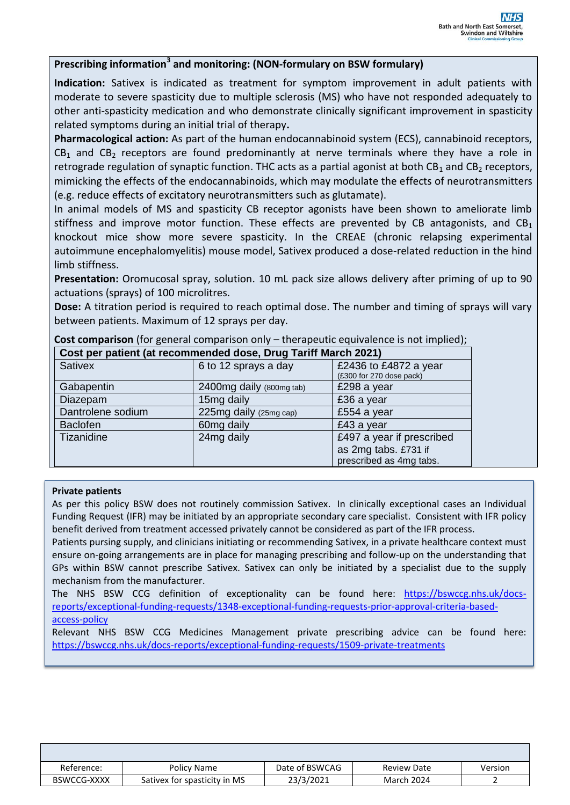# **Prescribing information<sup>3</sup> and monitoring: (NON-formulary on BSW formulary)**

**Indication:** Sativex is indicated as treatment for symptom improvement in adult patients with moderate to severe spasticity due to multiple sclerosis (MS) who have not responded adequately to other anti-spasticity medication and who demonstrate clinically significant improvement in spasticity related symptoms during an initial trial of therapy**.**

**Pharmacological action:** As part of the human endocannabinoid system (ECS), cannabinoid receptors,  $CB<sub>1</sub>$  and  $CB<sub>2</sub>$  receptors are found predominantly at nerve terminals where they have a role in retrograde regulation of synaptic function. THC acts as a partial agonist at both  $CB_1$  and  $CB_2$  receptors, mimicking the effects of the endocannabinoids, which may modulate the effects of neurotransmitters (e.g. reduce effects of excitatory neurotransmitters such as glutamate).

In animal models of MS and spasticity CB receptor agonists have been shown to ameliorate limb stiffness and improve motor function. These effects are prevented by CB antagonists, and  $CB_1$ knockout mice show more severe spasticity. In the CREAE (chronic relapsing experimental autoimmune encephalomyelitis) mouse model, Sativex produced a dose-related reduction in the hind limb stiffness.

**Presentation:** Oromucosal spray, solution. 10 mL pack size allows delivery after priming of up to 90 actuations (sprays) of 100 microlitres.

**Dose:** A titration period is required to reach optimal dose. The number and timing of sprays will vary between patients. Maximum of 12 sprays per day.

| Cost per patient (at recommended dose, Drug Tariff March 2021) |                          |                           |  |  |
|----------------------------------------------------------------|--------------------------|---------------------------|--|--|
| <b>Sativex</b>                                                 | 6 to 12 sprays a day     | £2436 to £4872 a year     |  |  |
|                                                                |                          | (£300 for 270 dose pack)  |  |  |
| Gabapentin                                                     | 2400mg daily (800mg tab) | £298 a year               |  |  |
| Diazepam                                                       | 15mg daily               | £36 a year                |  |  |
| Dantrolene sodium                                              | 225mg daily (25mg cap)   | £554 a year               |  |  |
| <b>Baclofen</b>                                                | 60mg daily               | £43 a year                |  |  |
| Tizanidine                                                     | 24mg daily               | £497 a year if prescribed |  |  |
|                                                                |                          | as 2mg tabs. £731 if      |  |  |
|                                                                |                          | prescribed as 4mg tabs.   |  |  |

**Cost comparison** (for general comparison only – therapeutic equivalence is not implied);

### **Private patients**

As per this policy BSW does not routinely commission Sativex. In clinically exceptional cases an Individual Funding Request (IFR) may be initiated by an appropriate secondary care specialist. Consistent with IFR policy benefit derived from treatment accessed privately cannot be considered as part of the IFR process.

Patients pursing supply, and clinicians initiating or recommending Sativex, in a private healthcare context must ensure on-going arrangements are in place for managing prescribing and follow-up on the understanding that GPs within BSW cannot prescribe Sativex. Sativex can only be initiated by a specialist due to the supply mechanism from the manufacturer.

The NHS BSW CCG definition of exceptionality can be found here: [https://bswccg.nhs.uk/docs](https://bswccg.nhs.uk/docs-reports/exceptional-funding-requests/1348-exceptional-funding-requests-prior-approval-criteria-based-access-policy)[reports/exceptional-funding-requests/1348-exceptional-funding-requests-prior-approval-criteria-based](https://bswccg.nhs.uk/docs-reports/exceptional-funding-requests/1348-exceptional-funding-requests-prior-approval-criteria-based-access-policy)[access-policy](https://bswccg.nhs.uk/docs-reports/exceptional-funding-requests/1348-exceptional-funding-requests-prior-approval-criteria-based-access-policy)

Relevant NHS BSW CCG Medicines Management private prescribing advice can be found here: <https://bswccg.nhs.uk/docs-reports/exceptional-funding-requests/1509-private-treatments>

| Reference:  | Policy Name                  | Date of BSWCAG | <b>Review Date</b> | Version |
|-------------|------------------------------|----------------|--------------------|---------|
| BSWCCG-XXXX | Sativex for spasticity in MS | 23/3/2021      | March 2024         |         |